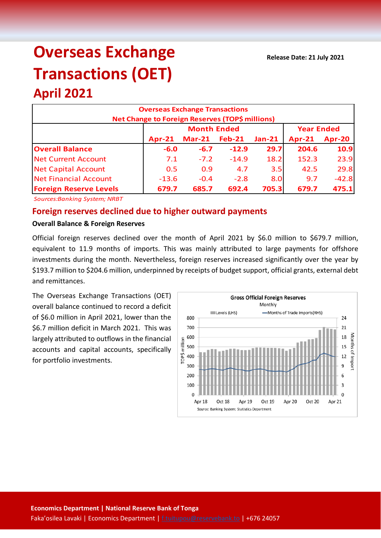# **Overseas Exchange Transactions (OET)**

# **April 2021**

| <b>Overseas Exchange Transactions</b><br><b>Net Change to Foreign Reserves (TOP\$ millions)</b> |               |                    |                   |          |          |               |  |  |
|-------------------------------------------------------------------------------------------------|---------------|--------------------|-------------------|----------|----------|---------------|--|--|
|                                                                                                 |               | <b>Month Ended</b> | <b>Year Ended</b> |          |          |               |  |  |
|                                                                                                 | <b>Apr-21</b> | $Mar-21$           | <b>Feb-21</b>     | $Jan-21$ | $Apr-21$ | <b>Apr-20</b> |  |  |
| <b>Overall Balance</b>                                                                          | $-6.0$        | $-6.7$             | $-12.9$           | 29.7     | 204.6    | 10.9          |  |  |
| <b>Net Current Account</b>                                                                      | 7.1           | $-7.2$             | $-14.9$           | 18.2     | 152.3    | 23.9          |  |  |
| <b>Net Capital Account</b>                                                                      | 0.5           | 0.9                | 4.7               | 3.5      | 42.5     | 29.8          |  |  |
| <b>Net Financial Account</b>                                                                    | $-13.6$       | $-0.4$             | $-2.8$            | 8.0      | 9.7      | $-42.8$       |  |  |
| <b>Foreign Reserve Levels</b>                                                                   | 679.7         | 685.7              | 692.4             | 705.3    | 679.7    | 475.1         |  |  |

*Sources:Banking System; NRBT*

# **Foreign reserves declined due to higher outward payments**

#### **Overall Balance & Foreign Reserves**

Official foreign reserves declined over the month of April 2021 by \$6.0 million to \$679.7 million, equivalent to 11.9 months of imports. This was mainly attributed to large payments for offshore investments during the month. Nevertheless, foreign reserves increased significantly over the year by \$193.7 million to \$204.6 million, underpinned by receipts of budget support, official grants, external debt and remittances.

The Overseas Exchange Transactions (OET) overall balance continued to record a deficit of \$6.0 million in April 2021, lower than the \$6.7 million deficit in March 2021. This was largely attributed to outflows in the financial accounts and capital accounts, specifically for portfolio investments.

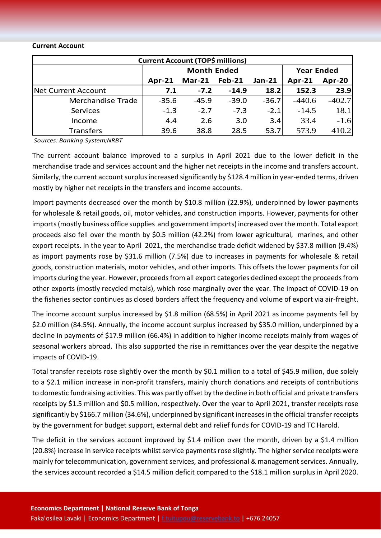#### **Current Account**

| <b>Current Account (TOP\$ millions)</b> |                    |          |               |               |                   |          |  |  |  |
|-----------------------------------------|--------------------|----------|---------------|---------------|-------------------|----------|--|--|--|
|                                         | <b>Month Ended</b> |          |               |               | <b>Year Ended</b> |          |  |  |  |
|                                         | $Apr-21$           | $Mar-21$ | <b>Feb-21</b> | <b>Jan-21</b> | $Apr-21$          | Apr-20   |  |  |  |
| <b>Net Current Account</b>              | 7.1                | $-7.2$   | $-14.9$       | 18.2          | 152.3             | 23.9     |  |  |  |
| Merchandise Trade                       | $-35.6$            | $-45.9$  | $-39.0$       | $-36.7$       | $-440.6$          | $-402.7$ |  |  |  |
| Services                                | $-1.3$             | $-2.7$   | $-7.3$        | $-2.1$        | $-14.5$           | 18.1     |  |  |  |
| Income                                  | 4.4                | 2.6      | 3.0           | 3.4           | 33.4              | $-1.6$   |  |  |  |
| <b>Transfers</b>                        | 39.6               | 38.8     | 28.5          | 53.7          | 573.9             | 410.2    |  |  |  |

*Sources: Banking System;NRBT*

The current account balance improved to a surplus in April 2021 due to the lower deficit in the merchandise trade and services account and the higher net receipts in the income and transfers account. Similarly, the current account surplus increased significantly by \$128.4 million in year-ended terms, driven mostly by higher net receipts in the transfers and income accounts.

Import payments decreased over the month by \$10.8 million (22.9%), underpinned by lower payments for wholesale & retail goods, oil, motor vehicles, and construction imports. However, payments for other imports (mostly business office supplies and government imports) increased over the month. Total export proceeds also fell over the month by \$0.5 million (42.2%) from lower agricultural, marines, and other export receipts. In the year to April 2021, the merchandise trade deficit widened by \$37.8 million (9.4%) as import payments rose by \$31.6 million (7.5%) due to increases in payments for wholesale & retail goods, construction materials, motor vehicles, and other imports. This offsets the lower payments for oil imports during the year. However, proceeds from all export categories declined except the proceeds from other exports (mostly recycled metals), which rose marginally over the year. The impact of COVID-19 on the fisheries sector continues as closed borders affect the frequency and volume of export via air-freight.

The income account surplus increased by \$1.8 million (68.5%) in April 2021 as income payments fell by \$2.0 million (84.5%). Annually, the income account surplus increased by \$35.0 million, underpinned by a decline in payments of \$17.9 million (66.4%) in addition to higher income receipts mainly from wages of seasonal workers abroad. This also supported the rise in remittances over the year despite the negative impacts of COVID-19.

Total transfer receipts rose slightly over the month by \$0.1 million to a total of \$45.9 million, due solely to a \$2.1 million increase in non-profit transfers, mainly church donations and receipts of contributions to domestic fundraising activities. This was partly offset by the decline in both official and private transfers receipts by \$1.5 million and \$0.5 million, respectively. Over the year to April 2021, transfer receipts rose significantly by \$166.7 million (34.6%), underpinned by significant increases in the official transfer receipts by the government for budget support, external debt and relief funds for COVID-19 and TC Harold.

The deficit in the services account improved by \$1.4 million over the month, driven by a \$1.4 million (20.8%) increase in service receipts whilst service payments rose slightly. The higher service receipts were mainly for telecommunication, government services, and professional & management services. Annually, the services account recorded a \$14.5 million deficit compared to the \$18.1 million surplus in April 2020.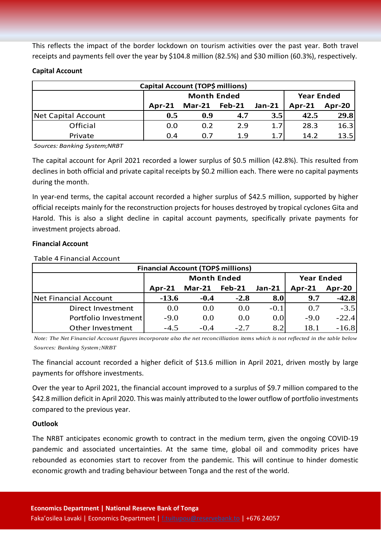This reflects the impact of the border lockdown on tourism activities over the past year. Both travel receipts and payments fell over the year by \$104.8 million (82.5%) and \$30 million (60.3%), respectively.

# **Capital Account**

| Capital Account (TOP\$ millions) |          |                      |                   |               |                    |      |  |  |
|----------------------------------|----------|----------------------|-------------------|---------------|--------------------|------|--|--|
|                                  |          | <b>Month Ended</b>   | <b>Year Ended</b> |               |                    |      |  |  |
|                                  | $Apr-21$ | <b>Mar-21 Feb-21</b> |                   | <b>Jan-21</b> | Apr-20<br>$Apr-21$ |      |  |  |
| Net Capital Account              | 0.5      | 0.9                  | 4.7               | 3.5           | 42.5               | 29.8 |  |  |
| Official                         | 0.0      | 0.2                  | 2.9               | 1.7           | 28.3               | 16.3 |  |  |
| Private                          | 0.4      | 0.7                  | 1.9               | 1.7           | 14.2               | 13.5 |  |  |

*Sources: Banking System;NRBT*

The capital account for April 2021 recorded a lower surplus of \$0.5 million (42.8%). This resulted from declines in both official and private capital receipts by \$0.2 million each. There were no capital payments during the month.

In year-end terms, the capital account recorded a higher surplus of \$42.5 million, supported by higher official receipts mainly for the reconstruction projects for houses destroyed by tropical cyclones Gita and Harold. This is also a slight decline in capital account payments, specifically private payments for investment projects abroad.

# **Financial Account**

| <b>Financial Account (TOP\$ millions)</b> |         |                      |                   |               |               |         |  |  |  |
|-------------------------------------------|---------|----------------------|-------------------|---------------|---------------|---------|--|--|--|
|                                           |         | <b>Month Ended</b>   | <b>Year Ended</b> |               |               |         |  |  |  |
|                                           | Apr-21  | <b>Mar-21 Feb-21</b> |                   | <b>Jan-21</b> | <b>Apr-21</b> | Apr-20  |  |  |  |
| Net Financial Account                     | $-13.6$ | $-0.4$               | $-2.8$            | 8.0           | 9.7           | $-42.8$ |  |  |  |
| Direct Investment                         | 0.0     | 0.0                  | 0.0               | $-0.1$        | 0.7           | $-3.5$  |  |  |  |
| Portfolio Investment                      | $-9.0$  | 0.0                  | 0.0               | 0.0           | $-9.0$        | $-22.4$ |  |  |  |
| Other Investment                          | $-4.5$  | $-0.4$               | $-2.7$            | 8.2           | 18.1          | $-16.8$ |  |  |  |

Table 4 Financial Account

*Note: The Net Financial Account figures incorporate also the net reconcilliation items which is not reflected in the table below Sources: Banking System;NRBT*

The financial account recorded a higher deficit of \$13.6 million in April 2021, driven mostly by large payments for offshore investments.

Over the year to April 2021, the financial account improved to a surplus of \$9.7 million compared to the \$42.8 million deficit in April 2020. This was mainly attributed to the lower outflow of portfolio investments compared to the previous year.

# **Outlook**

The NRBT anticipates economic growth to contract in the medium term, given the ongoing COVID-19 pandemic and associated uncertainties. At the same time, global oil and commodity prices have rebounded as economies start to recover from the pandemic. This will continue to hinder domestic economic growth and trading behaviour between Tonga and the rest of the world.